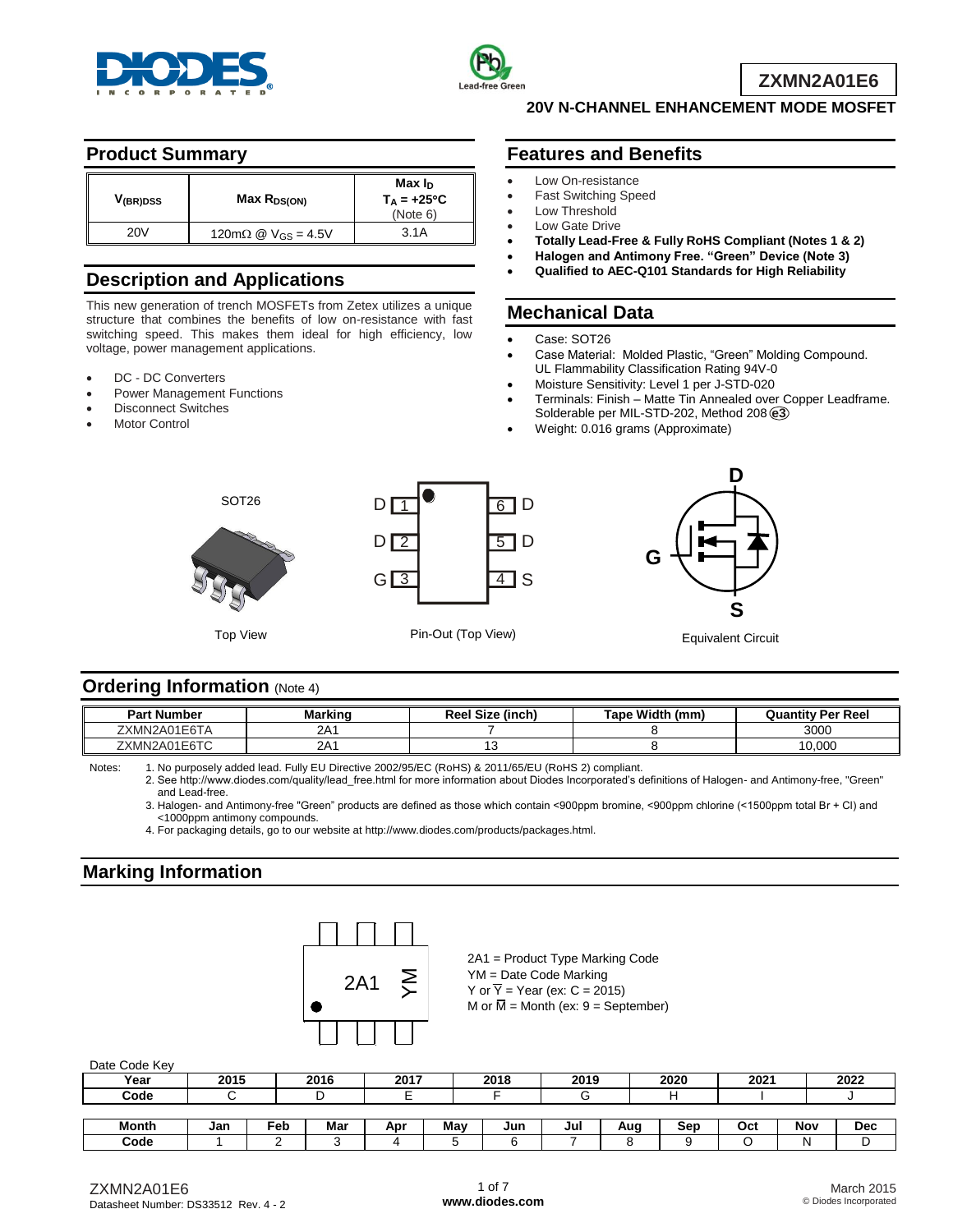



**ZXMN2A01E6**

## **Product Summary**

| V <sub>(BR)DSS</sub> | $Max R_{DS(ON)}$                       | Max I <sub>D</sub><br>$T_A = +25^{\circ}C$<br>(Note 6) |
|----------------------|----------------------------------------|--------------------------------------------------------|
| 20V                  | 120m $\Omega$ @ V <sub>GS</sub> = 4.5V | 3.1A                                                   |

# **Description and Applications**

This new generation of trench MOSFETs from Zetex utilizes a unique structure that combines the benefits of low on-resistance with fast switching speed. This makes them ideal for high efficiency, low voltage, power management applications.

- DC DC Converters
- Power Management Functions
- Disconnect Switches
- Motor Control

# **Features and Benefits**

- Low On-resistance
- Fast Switching Speed
- Low Threshold Low Gate Drive
- **Totally Lead-Free & Fully RoHS Compliant (Notes 1 & 2)**

**20V N-CHANNEL ENHANCEMENT MODE MOSFET**

- **Halogen and Antimony Free. "Green" Device (Note 3)**
- **Qualified to AEC-Q101 Standards for High Reliability**

#### **Mechanical Data**

- Case: SOT26
- Case Material: Molded Plastic, "Green" Molding Compound. UL Flammability Classification Rating 94V-0
- Moisture Sensitivity: Level 1 per J-STD-020
- Terminals: Finish Matte Tin Annealed over Copper Leadframe. Solderable per MIL-STD-202, Method 208 **e3**
- Weight: 0.016 grams (Approximate)



#### **Ordering Information (Note 4)**

| <b>Part Number</b>       | Markinc         | <b>Reel Size</b><br>(inch) | Tape Width<br>≧mm. | <b>Quantity Per Reel</b> |
|--------------------------|-----------------|----------------------------|--------------------|--------------------------|
| ZXMN2A01E6TA             | 2A1             |                            |                    | 3000                     |
| 2A01E6TC<br><b>7XMN2</b> | 2A <sup>.</sup> |                            |                    | 10.000                   |

Notes: 1. No purposely added lead. Fully EU Directive 2002/95/EC (RoHS) & 2011/65/EU (RoHS 2) compliant.

2. See [http://www.diodes.com/quality/lead\\_free.html fo](http://www.diodes.com/quality/lead_free.html)r more information about Diodes Incorporated's definitions of Halogen- and Antimony-free, "Green" and Lead-free.

3. Halogen- and Antimony-free "Green" products are defined as those which contain <900ppm bromine, <900ppm chlorine (<1500ppm total Br + Cl) and <1000ppm antimony compounds.

4. For packaging details, go to our website at [http://www.diodes.com/products/packages.html.](http://www.diodes.com/products/packages.html)

#### **Marking Information**



2A1 = Product Type Marking Code YM = Date Code Marking Y or  $\overline{Y}$  = Year (ex: C = 2015) M or  $\overline{M}$  = Month (ex: 9 = September)

| Date Code Key |  |
|---------------|--|
|               |  |

| Year         | 2015 |     | 2016 | 2017 |     | 2018 | 2019 |     | 2020 | 2021 |     | 2022       |
|--------------|------|-----|------|------|-----|------|------|-----|------|------|-----|------------|
| Code         |      |     |      |      |     |      |      |     |      |      |     |            |
|              |      |     |      |      |     |      |      |     |      |      |     |            |
| <b>Month</b> | Jan  | Feb | Mar  | Apr  | Mav | Jun  | Jul  | Aug | Sep  | Oct  | Nov | <b>Dec</b> |

**Code** 1 2 3 4 5 6 7 8 9 O N D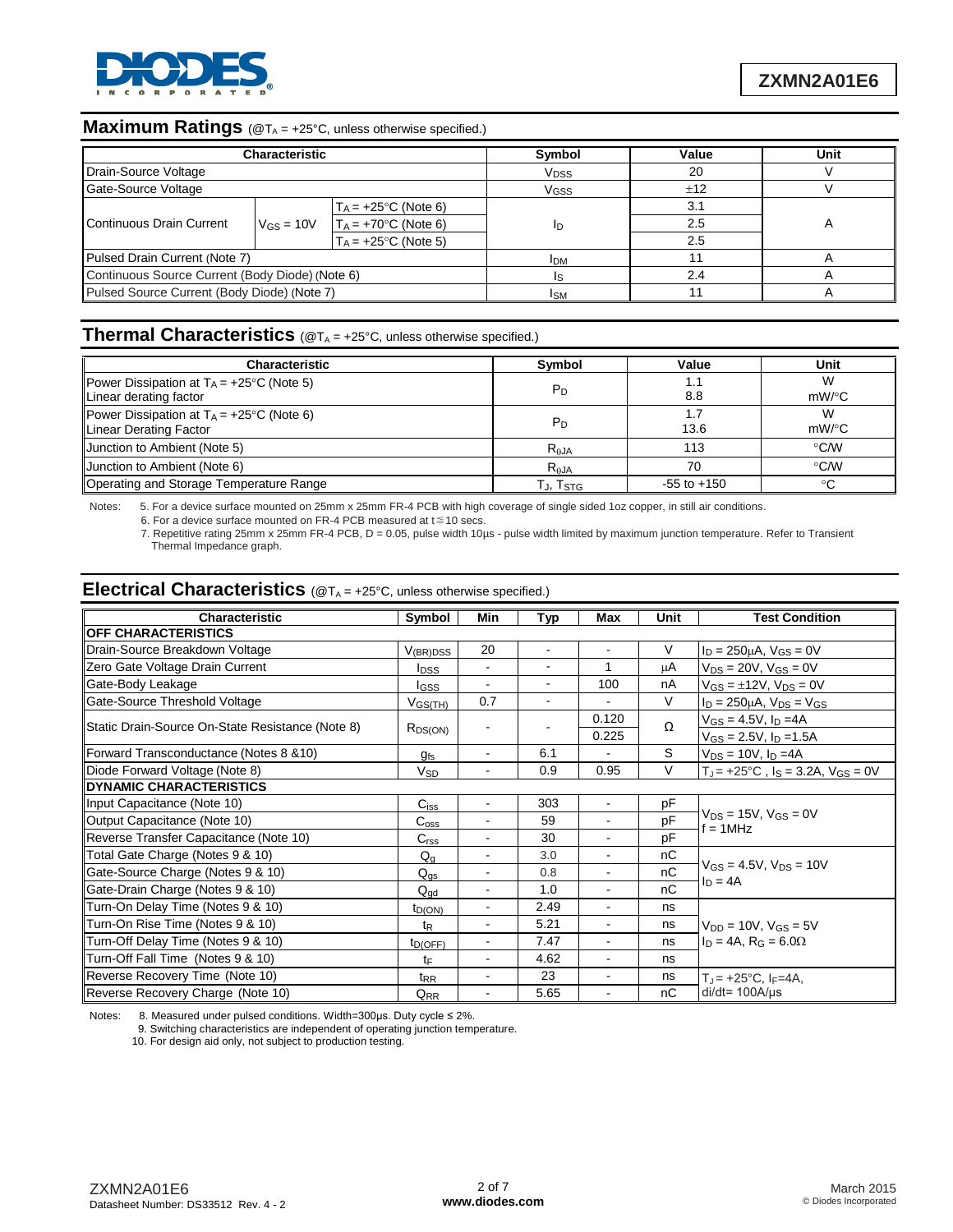

# **Maximum Ratings** (@T<sub>A</sub> = +25°C, unless otherwise specified.)

|                                                 | <b>Characteristic</b>   |                         | Symbol                 | Value | Unit |
|-------------------------------------------------|-------------------------|-------------------------|------------------------|-------|------|
| Drain-Source Voltage                            |                         |                         | <b>V<sub>DSS</sub></b> | 20    |      |
| Gate-Source Voltage                             |                         |                         | <b>V<sub>GSS</sub></b> | ±12   |      |
|                                                 |                         | $T_A = +25$ °C (Note 6) |                        | 3.1   |      |
| Continuous Drain Current                        | $V$ <sub>GS</sub> = 10V | $T_A = +70$ °C (Note 6) | ID                     | 2.5   |      |
|                                                 |                         | $T_A = +25$ °C (Note 5) |                        | 2.5   |      |
| Pulsed Drain Current (Note 7)                   |                         |                         | <b>IDM</b>             |       |      |
| Continuous Source Current (Body Diode) (Note 6) |                         |                         |                        | 2.4   |      |
| Pulsed Source Current (Body Diode) (Note 7)     |                         |                         | <b>I</b> SM            |       |      |

## **Thermal Characteristics** (@T<sub>A</sub> = +25°C, unless otherwise specified.)

| <b>Characteristic</b>                                                                           | Symbol          | Value           | Unit          |
|-------------------------------------------------------------------------------------------------|-----------------|-----------------|---------------|
| <b>Power Dissipation at T<sub>A</sub> = +25<sup>o</sup>C (Note 5)</b><br>Linear derating factor | $P_D$           | 1.1<br>8.8      | W<br>$mW$ /°C |
| Power Dissipation at $T_A = +25^{\circ}C$ (Note 6)<br>Linear Derating Factor                    | $P_D$           | 1.7<br>13.6     | W<br>$mW$ /°C |
| Junction to Ambient (Note 5)                                                                    | $R_{\theta}$ JA | 113             | $\degree$ C/W |
| Junction to Ambient (Note 6)                                                                    | $R_{\theta}$ JA | 70              | $\degree$ C/W |
| Operating and Storage Temperature Range                                                         | TJ, Tstg        | $-55$ to $+150$ | °C            |

Notes: 5. For a device surface mounted on 25mm x 25mm FR-4 PCB with high coverage of single sided 1oz copper, in still air conditions.

6. For a device surface mounted on FR-4 PCB measured at  $t \le 10$  secs.

7. Repetitive rating 25mm x 25mm FR-4 PCB, D = 0.05, pulse width 10µs - pulse width limited by maximum junction temperature. Refer to Transient Thermal Impedance graph.

#### **Electrical Characteristics** (@T<sub>A</sub> = +25°C, unless otherwise specified.)

| Characteristic                                   | Symbol                  | Min            | Typ            | Max                      | <b>Unit</b> | <b>Test Condition</b>                                      |  |  |
|--------------------------------------------------|-------------------------|----------------|----------------|--------------------------|-------------|------------------------------------------------------------|--|--|
| <b>OFF CHARACTERISTICS</b>                       |                         |                |                |                          |             |                                                            |  |  |
| Drain-Source Breakdown Voltage                   | $V_{(BR)DSS}$           | 20             | $\blacksquare$ | $\blacksquare$           | V           | $I_D = 250 \mu A$ , $V_{GS} = 0V$                          |  |  |
| Zero Gate Voltage Drain Current                  | <b>I</b> <sub>DSS</sub> | $\blacksquare$ | $\blacksquare$ | 1                        | μA          | $V_{DS} = 20V$ , $V_{GS} = 0V$                             |  |  |
| Gate-Body Leakage                                | <b>I</b> GSS            | $\blacksquare$ | $\blacksquare$ | 100                      | nA          | $V_{GS} = \pm 12V$ , $V_{DS} = 0V$                         |  |  |
| Gate-Source Threshold Voltage                    | $V_{GS(TH)}$            | 0.7            | $\blacksquare$ | $\overline{a}$           | $\vee$      | $I_D = 250 \mu A$ , $V_{DS} = V_{GS}$                      |  |  |
| Static Drain-Source On-State Resistance (Note 8) |                         |                |                | 0.120                    | $\Omega$    | $V_{GS} = 4.5V$ , $I_D = 4A$                               |  |  |
|                                                  | $R_{DS(ON)}$            |                |                | 0.225                    |             | $V_{GS} = 2.5V$ , $I_D = 1.5A$                             |  |  |
| Forward Transconductance (Notes 8 & 10)          | $g_{fs}$                | $\blacksquare$ | 6.1            | $\blacksquare$           | S.          | $V_{DS} = 10V$ , $I_D = 4A$                                |  |  |
| Diode Forward Voltage (Note 8)                   | V <sub>SD</sub>         | $\blacksquare$ | 0.9            | 0.95                     | V           | $T_{\rm J}$ = +25°C, $I_{\rm S}$ = 3.2A, $V_{\rm GS}$ = 0V |  |  |
| DYNAMIC CHARACTERISTICS                          |                         |                |                |                          |             |                                                            |  |  |
| Input Capacitance (Note 10)                      | $C_{iss}$               | $\blacksquare$ | 303            | $\overline{\phantom{a}}$ | pF          |                                                            |  |  |
| Output Capacitance (Note 10)                     | C <sub>oss</sub>        | $\blacksquare$ | 59             | $\blacksquare$           | pF          | $V_{DS}$ = 15V, $V_{GS}$ = 0V<br>$f = 1$ MHz               |  |  |
| Reverse Transfer Capacitance (Note 10)           | C <sub>rss</sub>        |                | 30             |                          | pF          |                                                            |  |  |
| Total Gate Charge (Notes 9 & 10)                 | $Q_{q}$                 | ۰              | 3.0            |                          | nC          |                                                            |  |  |
| Gate-Source Charge (Notes 9 & 10)                | $Q_{\text{gs}}$         | $\blacksquare$ | 0.8            | $\overline{\phantom{a}}$ | nC          | $V_{GS} = 4.5V$ , $V_{DS} = 10V$                           |  |  |
| Gate-Drain Charge (Notes 9 & 10)                 | $Q_{gd}$                | ٠              | 1.0            |                          | nC          | $ln = 4A$                                                  |  |  |
| Turn-On Delay Time (Notes 9 & 10)                | t <sub>D(ON)</sub>      | ۰              | 2.49           | $\blacksquare$           | ns          |                                                            |  |  |
| Turn-On Rise Time (Notes 9 & 10)                 | $t_{\mathsf{R}}$        | $\blacksquare$ | 5.21           |                          | ns          | $V_{DD} = 10V$ , $V_{GS} = 5V$                             |  |  |
| Turn-Off Delay Time (Notes 9 & 10)               | t <sub>D</sub> (OFF)    |                | 7.47           |                          | ns          | $I_D = 4A$ , $R_G = 6.0\Omega$                             |  |  |
| Turn-Off Fall Time (Notes 9 & 10)                | tF                      | $\blacksquare$ | 4.62           | $\blacksquare$           | ns          |                                                            |  |  |
| Reverse Recovery Time (Note 10)                  | t <sub>RR</sub>         | $\blacksquare$ | 23             | $\blacksquare$           | ns          | $T_{J}$ = +25°C, I <sub>F</sub> =4A,                       |  |  |
| Reverse Recovery Charge (Note 10)                | Q <sub>RR</sub>         | ۰              | 5.65           | $\overline{\phantom{a}}$ | nC          | $di/dt = 100A/\mu s$                                       |  |  |

Notes: 8. Measured under pulsed conditions. Width=300μs. Duty cycle ≤ 2%.

9. Switching characteristics are independent of operating junction temperature.

10. For design aid only, not subject to production testing.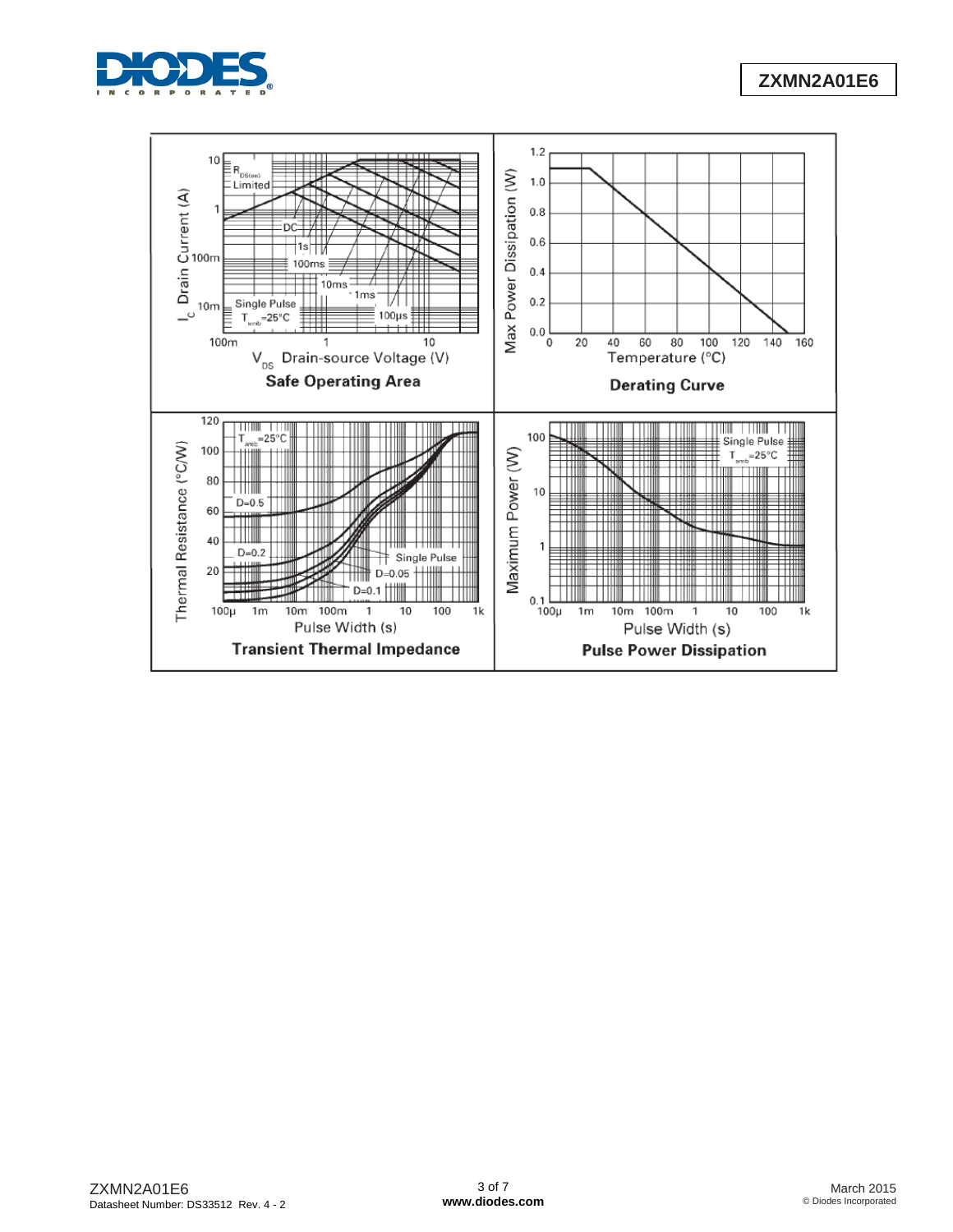

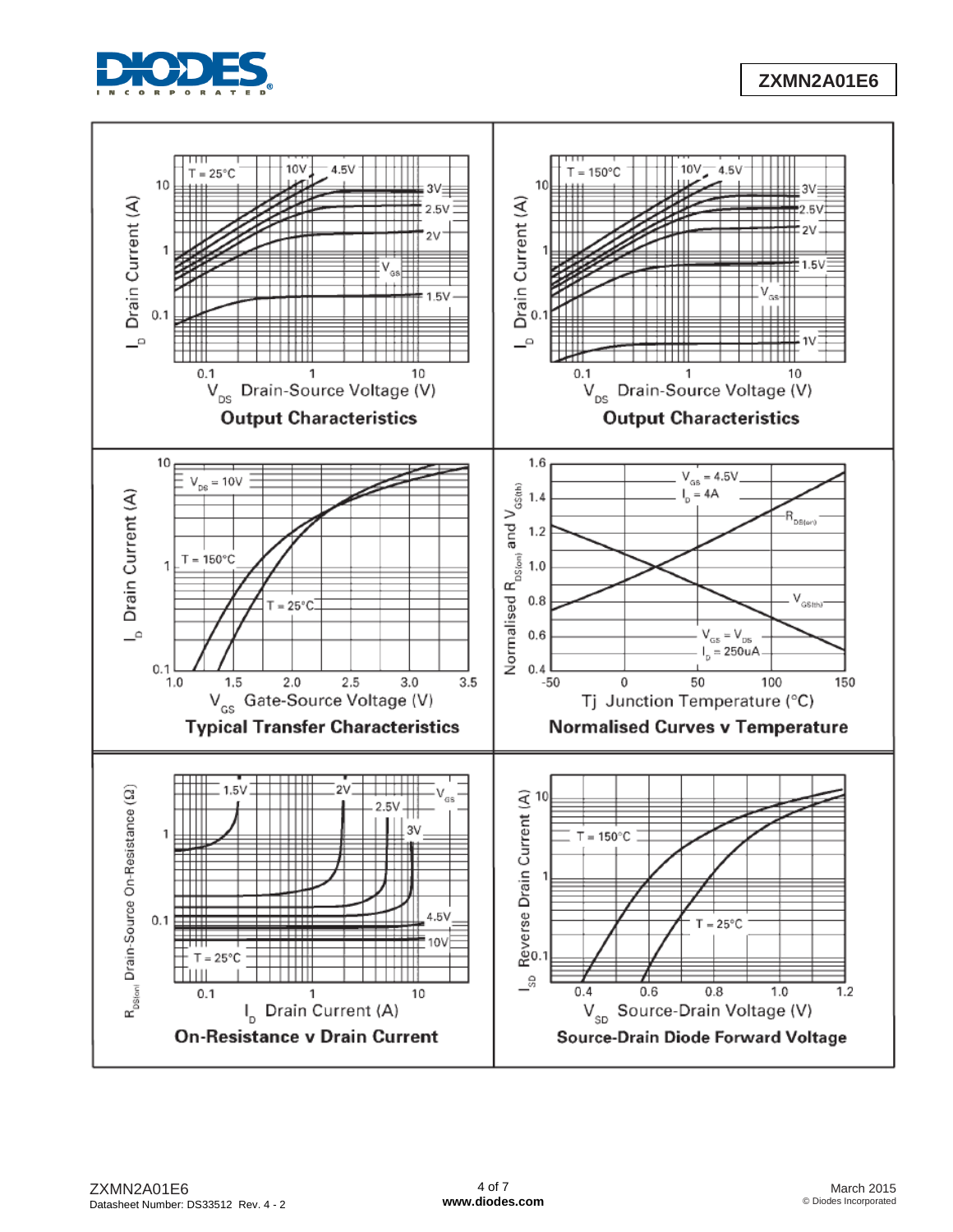

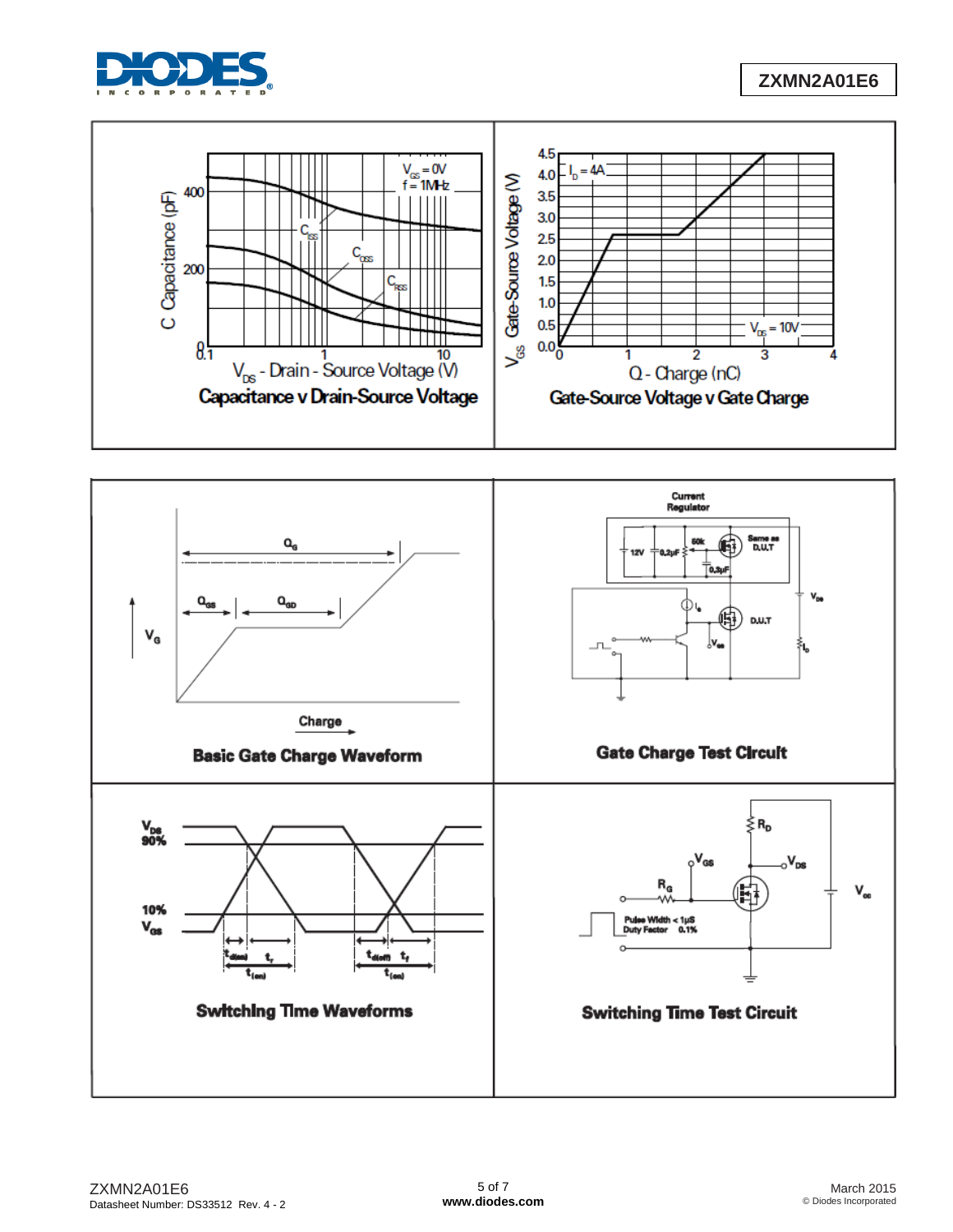



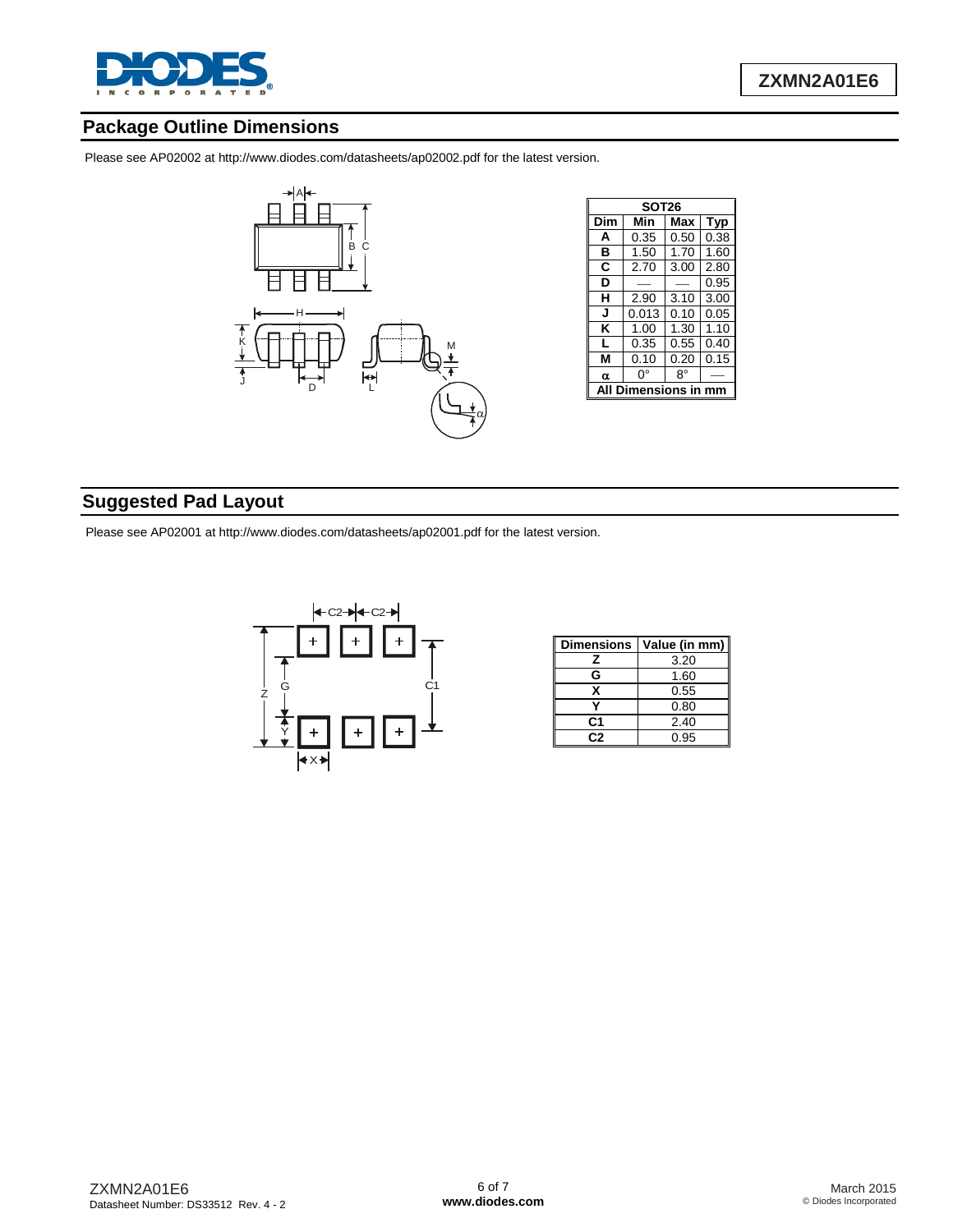

j

#### **Package Outline Dimensions**

Please see AP02002 at [http://www.diodes.com/datasheets/ap02002.pdf fo](http://www.diodes.com/datasheets/ap02002.pdf)r the latest version.



| <b>SOT26</b> |            |      |      |  |  |  |  |
|--------------|------------|------|------|--|--|--|--|
| Dim          | Min        | Max  | Typ  |  |  |  |  |
| A            | 0.35       | 0.50 | 0.38 |  |  |  |  |
| в            | 1.50       | 1.70 | 1.60 |  |  |  |  |
| C            | 2.70       | 3.00 | 2.80 |  |  |  |  |
| D            |            |      | 0.95 |  |  |  |  |
| н            | 2.90       | 3.10 | 3.00 |  |  |  |  |
| J            | 0.013      | 0.10 | 0.05 |  |  |  |  |
| κ            | 1.00       | 1.30 | 1.10 |  |  |  |  |
| L            | 0.35       | 0.55 | 0.40 |  |  |  |  |
| м            | 0.10       | 0.20 | 0.15 |  |  |  |  |
| α            | n۰         | 8°   |      |  |  |  |  |
|              | mensions i |      |      |  |  |  |  |

## **Suggested Pad Layout**

Please see AP02001 at [http://www.diodes.com/datasheets/ap02001.pdf fo](http://www.diodes.com/datasheets/ap02001.pdf)r the latest version.



| <b>Dimensions</b> | Value (in mm) |
|-------------------|---------------|
| z                 | 3.20          |
| G                 | 1.60          |
| x                 | 0.55          |
|                   | 0.80          |
| C1                | 2.40          |
| r. 2              | 0.95          |